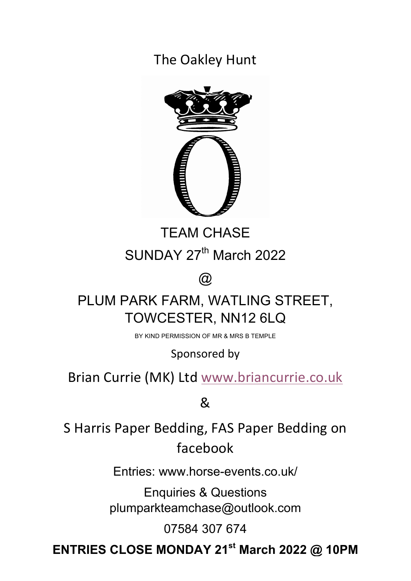The Oakley Hunt



TEAM CHASE SUNDAY 27<sup>th</sup> March 2022

 $\omega$ 

# PLUM PARK FARM, WATLING STREET, TOWCESTER, NN12 6LQ

BY KIND PERMISSION OF MR & MRS B TEMPLE

Sponsored by

Brian Currie (MK) Ltd www.briancurrie.co.uk

&

S Harris Paper Bedding, FAS Paper Bedding on facebook

Entries: www.horse-events.co.uk/

Enquiries & Questions plumparkteamchase@outlook.com

07584 307 674

**ENTRIES CLOSE MONDAY 21st March 2022 @ 10PM**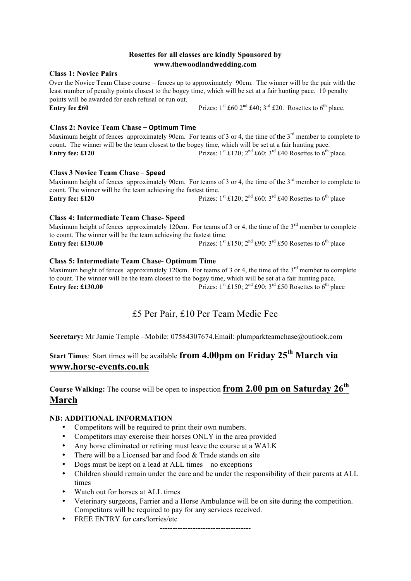## **Rosettes for all classes are kindly Sponsored by www.thewoodlandwedding.com**

#### **Class 1: Novice Pairs**

Over the Novice Team Chase course – fences up to approximately 90cm. The winner will be the pair with the least number of penalty points closest to the bogey time, which will be set at a fair hunting pace. 10 penalty points will be awarded for each refusal or run out. **Entry fee £60** Prizes:  $1^{st}$  £60  $2^{nd}$  £40;  $3^{rd}$  £20. Rosettes to  $6^{th}$  place.

## **Class 2: Novice Team Chase – Optimum Time**

Maximum height of fences approximately 90cm. For teams of 3 or 4, the time of the 3<sup>rd</sup> member to complete to count. The winner will be the team closest to the bogey time, which will be set at a fair hunting pace. **Entry fee: £120** Prizes:  $1^{st}$  £120;  $2^{nd}$  £60:  $3^{rd}$  £40 Rosettes to 6<sup>th</sup> place.

#### **Class 3 Novice Team Chase** – **Speed**

Maximum height of fences approximately 90cm. For teams of 3 or 4, the time of the 3<sup>rd</sup> member to complete to count. The winner will be the team achieving the fastest time. **Entry fee: £120** Prizes:  $1^{st}$  £120;  $2^{nd}$  £60:  $3^{rd}$  £40 Rosettes to 6<sup>th</sup> place

#### **Class 4: Intermediate Team Chase- Speed**

Maximum height of fences approximately 120cm. For teams of 3 or 4, the time of the  $3<sup>rd</sup>$  member to complete to count. The winner will be the team achieving the fastest time. **Entry fee: £130.00** Prizes:  $1^{st}$  £150;  $2^{nd}$  £90:  $3^{rd}$  £50 Rosettes to 6<sup>th</sup> place

#### **Class 5: Intermediate Team Chase- Optimum Time**

Maximum height of fences approximately 120cm. For teams of 3 or 4, the time of the 3<sup>rd</sup> member to complete to count. The winner will be the team closest to the bogey time, which will be set at a fair hunting pace. **Entry fee: £130.00** Prizes:  $1^{st}$  £150;  $2^{nd}$  £90:  $3^{rd}$  £50 Rosettes to  $6^{th}$  place

# £5 Per Pair, £10 Per Team Medic Fee

**Secretary:** Mr Jamie Temple –Mobile: 07584307674. Email: plumparkteamchase@outlook.com

# **Start Time**s: Start times will be available **from 4.00pm on Friday 25th March via www.horse-events.co.uk**

**Course Walking:** The course will be open to inspection **from 2.00 pm on Saturday 26th March**

#### **NB: ADDITIONAL INFORMATION**

- Competitors will be required to print their own numbers.
- Competitors may exercise their horses ONLY in the area provided
- Any horse eliminated or retiring must leave the course at a WALK
- There will be a Licensed bar and food  $&$  Trade stands on site
- Dogs must be kept on a lead at ALL times no exceptions
- Children should remain under the care and be under the responsibility of their parents at ALL times
- Watch out for horses at ALL times
- Veterinary surgeons, Farrier and a Horse Ambulance will be on site during the competition. Competitors will be required to pay for any services received.
- FREE ENTRY for cars/lorries/etc

------------------------------------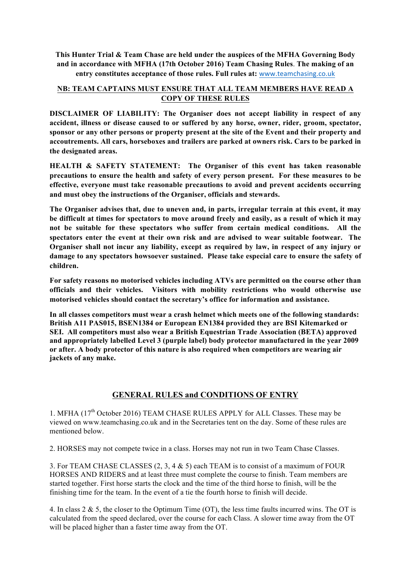**This Hunter Trial & Team Chase are held under the auspices of the MFHA Governing Body and in accordance with MFHA (17th October 2016) Team Chasing Rules**. **The making of an entry constitutes acceptance of those rules. Full rules at:** www.teamchasing.co.uk

## **NB: TEAM CAPTAINS MUST ENSURE THAT ALL TEAM MEMBERS HAVE READ A COPY OF THESE RULES**

**DISCLAIMER OF LIABILITY: The Organiser does not accept liability in respect of any accident, illness or disease caused to or suffered by any horse, owner, rider, groom, spectator, sponsor or any other persons or property present at the site of the Event and their property and accoutrements. All cars, horseboxes and trailers are parked at owners risk. Cars to be parked in the designated areas.**

**HEALTH & SAFETY STATEMENT: The Organiser of this event has taken reasonable precautions to ensure the health and safety of every person present. For these measures to be effective, everyone must take reasonable precautions to avoid and prevent accidents occurring and must obey the instructions of the Organiser, officials and stewards.**

**The Organiser advises that, due to uneven and, in parts, irregular terrain at this event, it may be difficult at times for spectators to move around freely and easily, as a result of which it may not be suitable for these spectators who suffer from certain medical conditions. All the spectators enter the event at their own risk and are advised to wear suitable footwear. The Organiser shall not incur any liability, except as required by law, in respect of any injury or damage to any spectators howsoever sustained. Please take especial care to ensure the safety of children.**

**For safety reasons no motorised vehicles including ATVs are permitted on the course other than officials and their vehicles. Visitors with mobility restrictions who would otherwise use motorised vehicles should contact the secretary's office for information and assistance.**

**In all classes competitors must wear a crash helmet which meets one of the following standards: British A11 PAS015, BSEN1384 or European EN1384 provided they are BSI Kitemarked or SEI. All competitors must also wear a British Equestrian Trade Association (BETA) approved and appropriately labelled Level 3 (purple label) body protector manufactured in the year 2009 or after. A body protector of this nature is also required when competitors are wearing air jackets of any make.**

# **GENERAL RULES and CONDITIONS OF ENTRY**

1. MFHA (17<sup>th</sup> October 2016) TEAM CHASE RULES APPLY for ALL Classes. These may be viewed on www.teamchasing.co.uk and in the Secretaries tent on the day. Some of these rules are mentioned below.

2. HORSES may not compete twice in a class. Horses may not run in two Team Chase Classes.

3. For TEAM CHASE CLASSES (2, 3, 4 & 5) each TEAM is to consist of a maximum of FOUR HORSES AND RIDERS and at least three must complete the course to finish. Team members are started together. First horse starts the clock and the time of the third horse to finish, will be the finishing time for the team. In the event of a tie the fourth horse to finish will decide.

4. In class 2 & 5, the closer to the Optimum Time (OT), the less time faults incurred wins. The OT is calculated from the speed declared, over the course for each Class. A slower time away from the OT will be placed higher than a faster time away from the OT.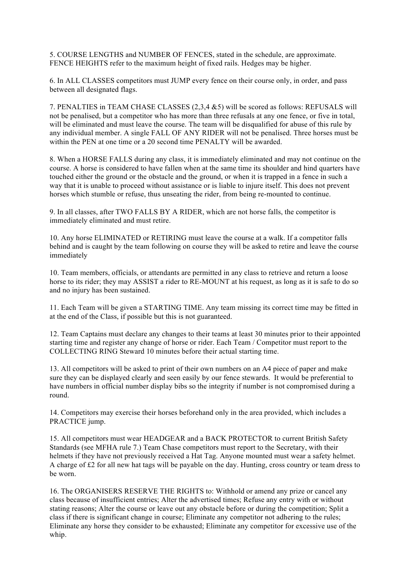5. COURSE LENGTHS and NUMBER OF FENCES, stated in the schedule, are approximate. FENCE HEIGHTS refer to the maximum height of fixed rails. Hedges may be higher.

6. In ALL CLASSES competitors must JUMP every fence on their course only, in order, and pass between all designated flags.

7. PENALTIES in TEAM CHASE CLASSES (2,3,4 &5) will be scored as follows: REFUSALS will not be penalised, but a competitor who has more than three refusals at any one fence, or five in total, will be eliminated and must leave the course. The team will be disqualified for abuse of this rule by any individual member. A single FALL OF ANY RIDER will not be penalised. Three horses must be within the PEN at one time or a 20 second time PENALTY will be awarded.

8. When a HORSE FALLS during any class, it is immediately eliminated and may not continue on the course. A horse is considered to have fallen when at the same time its shoulder and hind quarters have touched either the ground or the obstacle and the ground, or when it is trapped in a fence in such a way that it is unable to proceed without assistance or is liable to injure itself. This does not prevent horses which stumble or refuse, thus unseating the rider, from being re-mounted to continue.

9. In all classes, after TWO FALLS BY A RIDER, which are not horse falls, the competitor is immediately eliminated and must retire.

10. Any horse ELIMINATED or RETIRING must leave the course at a walk. If a competitor falls behind and is caught by the team following on course they will be asked to retire and leave the course immediately

10. Team members, officials, or attendants are permitted in any class to retrieve and return a loose horse to its rider; they may ASSIST a rider to RE-MOUNT at his request, as long as it is safe to do so and no injury has been sustained.

11. Each Team will be given a STARTING TIME. Any team missing its correct time may be fitted in at the end of the Class, if possible but this is not guaranteed.

12. Team Captains must declare any changes to their teams at least 30 minutes prior to their appointed starting time and register any change of horse or rider. Each Team / Competitor must report to the COLLECTING RING Steward 10 minutes before their actual starting time.

13. All competitors will be asked to print of their own numbers on an A4 piece of paper and make sure they can be displayed clearly and seen easily by our fence stewards. It would be preferential to have numbers in official number display bibs so the integrity if number is not compromised during a round.

14. Competitors may exercise their horses beforehand only in the area provided, which includes a PRACTICE jump.

15. All competitors must wear HEADGEAR and a BACK PROTECTOR to current British Safety Standards (see MFHA rule 7.) Team Chase competitors must report to the Secretary, with their helmets if they have not previously received a Hat Tag. Anyone mounted must wear a safety helmet. A charge of £2 for all new hat tags will be payable on the day. Hunting, cross country or team dress to be worn.

16. The ORGANISERS RESERVE THE RIGHTS to: Withhold or amend any prize or cancel any class because of insufficient entries; Alter the advertised times; Refuse any entry with or without stating reasons; Alter the course or leave out any obstacle before or during the competition; Split a class if there is significant change in course; Eliminate any competitor not adhering to the rules; Eliminate any horse they consider to be exhausted; Eliminate any competitor for excessive use of the whip.